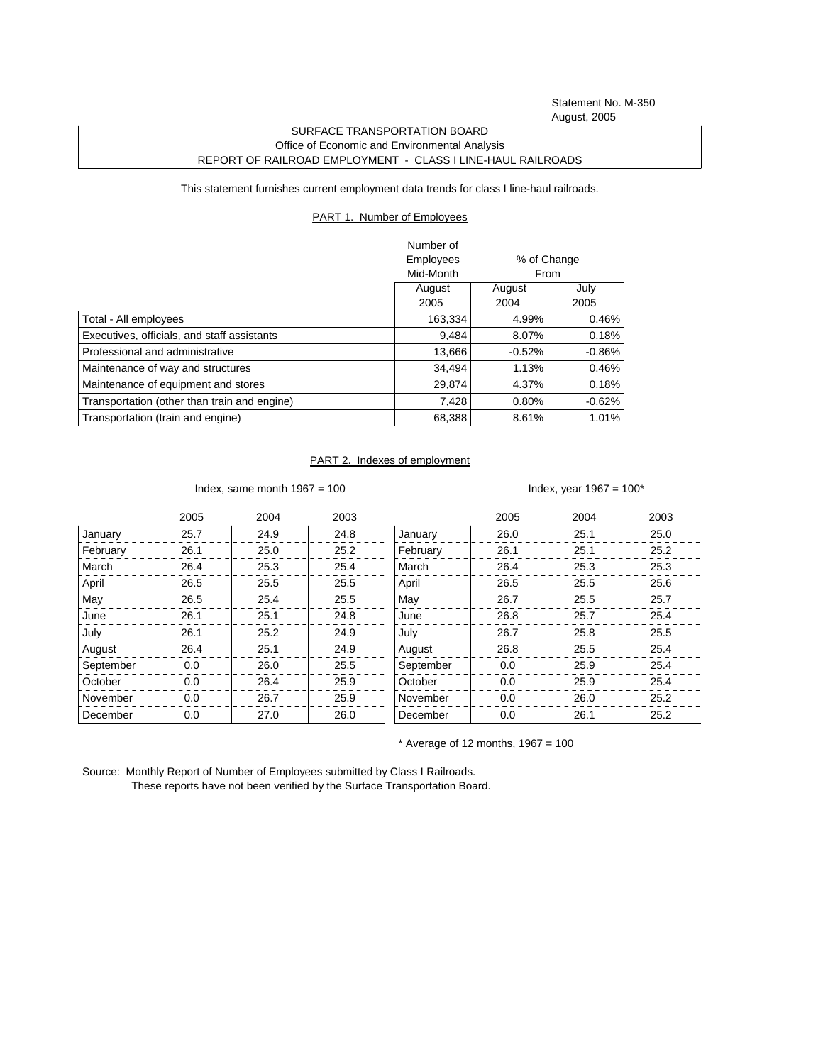Statement No. M-350 August, 2005

## SURFACE TRANSPORTATION BOARD Office of Economic and Environmental Analysis REPORT OF RAILROAD EMPLOYMENT - CLASS I LINE-HAUL RAILROADS

This statement furnishes current employment data trends for class I line-haul railroads.

## PART 1. Number of Employees

|                                              | Number of        |                                       |           |
|----------------------------------------------|------------------|---------------------------------------|-----------|
|                                              | <b>Employees</b> | % of Change<br>From<br>July<br>August |           |
|                                              | Mid-Month        |                                       |           |
|                                              | August           |                                       |           |
|                                              | 2005             | 2004                                  | 2005      |
| Total - All employees                        | 163,334          | 4.99%                                 | 0.46%     |
| Executives, officials, and staff assistants  | 9,484            | 8.07%                                 | 0.18%     |
| Professional and administrative              | 13,666           | $-0.52%$                              | $-0.86\%$ |
| Maintenance of way and structures            | 34.494           | 1.13%                                 | 0.46%     |
| Maintenance of equipment and stores          | 29,874           | 4.37%                                 | 0.18%     |
| Transportation (other than train and engine) | 7.428            | 0.80%                                 | $-0.62%$  |
| Transportation (train and engine)            | 68,388           | 8.61%                                 | 1.01%     |

## PART 2. Indexes of employment

Index, same month  $1967 = 100$  Index, year  $1967 = 100^*$ 

|           | 2005 | 2004 | 2003 |           | 2005 | 2004 | 2003 |
|-----------|------|------|------|-----------|------|------|------|
| January   | 25.7 | 24.9 | 24.8 | January   | 26.0 | 25.1 | 25.0 |
| February  | 26.1 | 25.0 | 25.2 | February  | 26.1 | 25.1 | 25.2 |
| March     | 26.4 | 25.3 | 25.4 | March     | 26.4 | 25.3 | 25.3 |
| April     | 26.5 | 25.5 | 25.5 | April     | 26.5 | 25.5 | 25.6 |
| May       | 26.5 | 25.4 | 25.5 | May       | 26.7 | 25.5 | 25.7 |
| June      | 26.1 | 25.1 | 24.8 | June      | 26.8 | 25.7 | 25.4 |
| July      | 26.1 | 25.2 | 24.9 | July      | 26.7 | 25.8 | 25.5 |
| August    | 26.4 | 25.1 | 24.9 | August    | 26.8 | 25.5 | 25.4 |
| September | 0.0  | 26.0 | 25.5 | September | 0.0  | 25.9 | 25.4 |
| October   | 0.0  | 26.4 | 25.9 | October   | 0.0  | 25.9 | 25.4 |
| November  | 0.0  | 26.7 | 25.9 | November  | 0.0  | 26.0 | 25.2 |
| December  | 0.0  | 27.0 | 26.0 | December  | 0.0  | 26.1 | 25.2 |

 $*$  Average of 12 months, 1967 = 100

Source: Monthly Report of Number of Employees submitted by Class I Railroads. These reports have not been verified by the Surface Transportation Board.